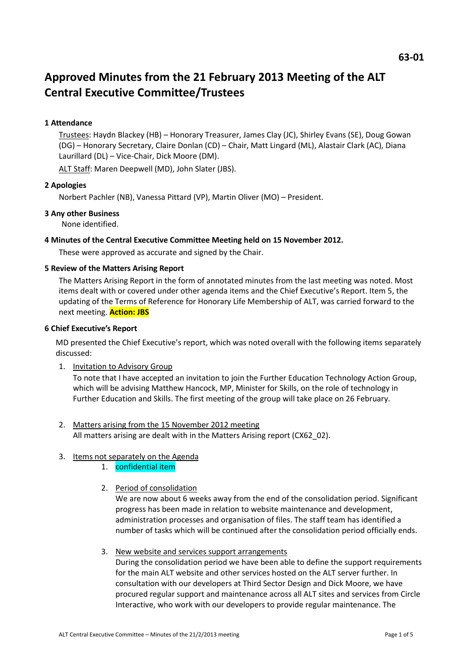# **Approved Minutes from the 21 February 2013 Meeting of the ALT Central Executive Committee/Trustees**

## **1 Attendance**

Trustees: Haydn Blackey (HB) – Honorary Treasurer, James Clay (JC), Shirley Evans (SE), Doug Gowan (DG) – Honorary Secretary, Claire Donlan (CD) – Chair, Matt Lingard (ML), Alastair Clark (AC), Diana Laurillard (DL) – Vice-Chair, Dick Moore (DM).

ALT Staff: Maren Deepwell (MD), John Slater (JBS).

#### **2 Apologies**

Norbert Pachler (NB), Vanessa Pittard (VP), Martin Oliver (MO) – President.

#### **3 Any other Business**

None identified.

#### **4 Minutes of the Central Executive Committee Meeting held on 15 November 2012.**

These were approved as accurate and signed by the Chair.

#### **5 Review of the Matters Arising Report**

The Matters Arising Report in the form of annotated minutes from the last meeting was noted. Most items dealt with or covered under other agenda items and the Chief Executive's Report. Item 5, the updating of the Terms of Reference for Honorary Life Membership of ALT, was carried forward to the next meeting. **Action: JBS** 

#### **6 Chief Executive's Report**

MD presented the Chief Executive's report, which was noted overall with the following items separately discussed:

1. Invitation to Advisory Group

To note that I have accepted an invitation to join the Further Education Technology Action Group, which will be advising Matthew Hancock, MP, Minister for Skills, on the role of technology in Further Education and Skills. The first meeting of the group will take place on 26 February.

2. Matters arising from the 15 November 2012 meeting All matters arising are dealt with in the Matters Arising report (CX62 02).

#### 3. Items not separately on the Agenda

- 1. confidential item
- 2. Period of consolidation

We are now about 6 weeks away from the end of the consolidation period. Significant progress has been made in relation to website maintenance and development, administration processes and organisation of files. The staff team has identified a number of tasks which will be continued after the consolidation period officially ends.

3. New website and services support arrangements

During the consolidation period we have been able to define the support requirements for the main ALT website and other services hosted on the ALT server further. In consultation with our developers at Third Sector Design and Dick Moore, we have procured regular support and maintenance across all ALT sites and services from Circle Interactive, who work with our developers to provide regular maintenance. The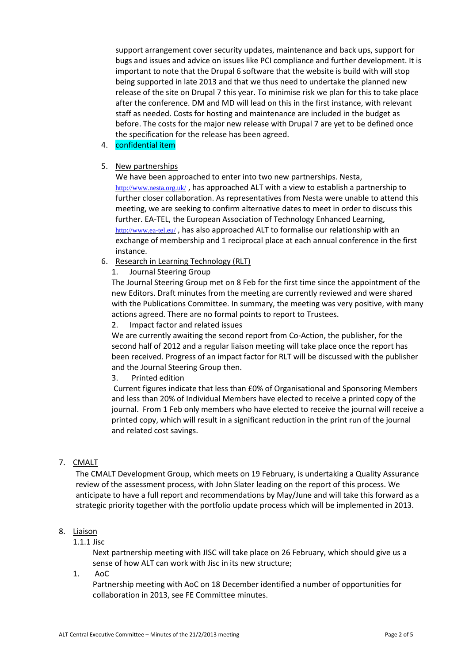support arrangement cover security updates, maintenance and back ups, support for bugs and issues and advice on issues like PCI compliance and further development. It is important to note that the Drupal 6 software that the website is build with will stop being supported in late 2013 and that we thus need to undertake the planned new release of the site on Drupal 7 this year. To minimise risk we plan for this to take place after the conference. DM and MD will lead on this in the first instance, with relevant staff as needed. Costs for hosting and maintenance are included in the budget as before. The costs for the major new release with Drupal 7 are yet to be defined once the specification for the release has been agreed.

# 4. confidential item

## 5. New partnerships

We have been approached to enter into two new partnerships. Nesta, <http://www.nesta.org.uk/> , has approached ALT with a view to establish a partnership to further closer collaboration. As representatives from Nesta were unable to attend this meeting, we are seeking to confirm alternative dates to meet in order to discuss this further. EA-TEL, the European Association of Technology Enhanced Learning, <http://www.ea-tel.eu/> , has also approached ALT to formalise our relationship with an exchange of membership and 1 reciprocal place at each annual conference in the first instance.

- 6. Research in Learning Technology (RLT)
	- 1. Journal Steering Group

The Journal Steering Group met on 8 Feb for the first time since the appointment of the new Editors. Draft minutes from the meeting are currently reviewed and were shared with the Publications Committee. In summary, the meeting was very positive, with many actions agreed. There are no formal points to report to Trustees.

2. Impact factor and related issues

We are currently awaiting the second report from Co-Action, the publisher, for the second half of 2012 and a regular liaison meeting will take place once the report has been received. Progress of an impact factor for RLT will be discussed with the publisher and the Journal Steering Group then.

3. Printed edition

Current figures indicate that less than £0% of Organisational and Sponsoring Members and less than 20% of Individual Members have elected to receive a printed copy of the journal. From 1 Feb only members who have elected to receive the journal will receive a printed copy, which will result in a significant reduction in the print run of the journal and related cost savings.

#### 7. CMALT

The CMALT Development Group, which meets on 19 February, is undertaking a Quality Assurance review of the assessment process, with John Slater leading on the report of this process. We anticipate to have a full report and recommendations by May/June and will take this forward as a strategic priority together with the portfolio update process which will be implemented in 2013.

#### 8. Liaison

## 1.1.1 Jisc

Next partnership meeting with JISC will take place on 26 February, which should give us a sense of how ALT can work with Jisc in its new structure;

1. AoC

Partnership meeting with AoC on 18 December identified a number of opportunities for collaboration in 2013, see FE Committee minutes.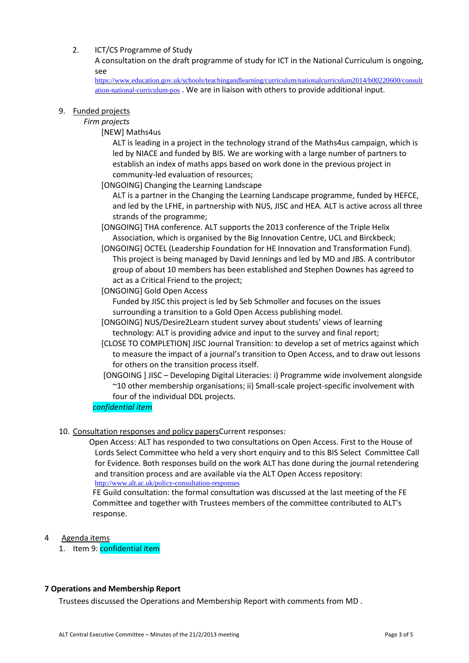# 2. ICT/CS Programme of Study

A consultation on the draft programme of study for ICT in the National Curriculum is ongoing, see

[https://www.education.gov.uk/schools/teachingandlearning/curriculum/nationalcurriculum2014/b00220600/consult](https://www.education.gov.uk/schools/teachingandlearning/curriculum/nationalcurriculum2014/b00220600/consultation-national-curriculum-pos) [ation-national-curriculum-pos](https://www.education.gov.uk/schools/teachingandlearning/curriculum/nationalcurriculum2014/b00220600/consultation-national-curriculum-pos) . We are in liaison with others to provide additional input.

#### 9. Funded projects

# *Firm projects*

[NEW] Maths4us

ALT is leading in a project in the technology strand of the Maths4us campaign, which is led by NIACE and funded by BIS. We are working with a large number of partners to establish an index of maths apps based on work done in the previous project in community-led evaluation of resources;

[ONGOING] Changing the Learning Landscape

ALT is a partner in the Changing the Learning Landscape programme, funded by HEFCE, and led by the LFHE, in partnership with NUS, JISC and HEA. ALT is active across all three strands of the programme;

[ONGOING] THA conference. ALT supports the 2013 conference of the Triple Helix Association, which is organised by the Big Innovation Centre, UCL and Birckbeck;

[ONGOING] OCTEL (Leadership Foundation for HE Innovation and Transformation Fund). This project is being managed by David Jennings and led by MD and JBS. A contributor group of about 10 members has been established and Stephen Downes has agreed to act as a Critical Friend to the project;

[ONGOING] Gold Open Access

Funded by JISC this project is led by Seb Schmoller and focuses on the issues surrounding a transition to a Gold Open Access publishing model.

- [ONGOING] NUS/Desire2Learn student survey about students' views of learning technology: ALT is providing advice and input to the survey and final report;
- [CLOSE TO COMPLETION] JISC Journal Transition: to develop a set of metrics against which to measure the impact of a journal's transition to Open Access, and to draw out lessons for others on the transition process itself.
- [ONGOING ] JISC Developing Digital Literacies: i) Programme wide involvement alongside ~10 other membership organisations; ii) Small-scale project-specific involvement with four of the individual DDL projects.

# *confidential item*

10. Consultation responses and policy papersCurrent responses:

Open Access: ALT has responded to two consultations on Open Access. First to the House of Lords Select Committee who held a very short enquiry and to this BIS Select Committee Call for Evidence. Both responses build on the work ALT has done during the journal retendering and transition process and are available via the ALT Open Access repository: <http://www.alt.ac.uk/policy-consultation-responses>

FE Guild consultation: the formal consultation was discussed at the last meeting of the FE Committee and together with Trustees members of the committee contributed to ALT's response.

#### 4 Agenda items

1. Item 9: confidential item

#### **7 Operations and Membership Report**

Trustees discussed the Operations and Membership Report with comments from MD .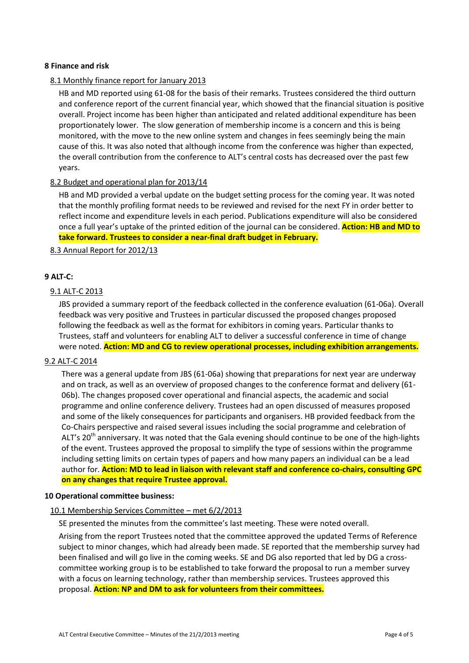#### **8 Finance and risk**

#### 8.1 Monthly finance report for January 2013

HB and MD reported using 61-08 for the basis of their remarks. Trustees considered the third outturn and conference report of the current financial year, which showed that the financial situation is positive overall. Project income has been higher than anticipated and related additional expenditure has been proportionately lower. The slow generation of membership income is a concern and this is being monitored, with the move to the new online system and changes in fees seemingly being the main cause of this. It was also noted that although income from the conference was higher than expected, the overall contribution from the conference to ALT's central costs has decreased over the past few years.

#### 8.2 Budget and operational plan for 2013/14

HB and MD provided a verbal update on the budget setting process for the coming year. It was noted that the monthly profiling format needs to be reviewed and revised for the next FY in order better to reflect income and expenditure levels in each period. Publications expenditure will also be considered once a full year's uptake of the printed edition of the journal can be considered. **Action: HB and MD to take forward. Trustees to consider a near-final draft budget in February.**

#### 8.3 Annual Report for 2012/13

#### **9 ALT-C:**

#### 9.1 ALT-C 2013

JBS provided a summary report of the feedback collected in the conference evaluation (61-06a). Overall feedback was very positive and Trustees in particular discussed the proposed changes proposed following the feedback as well as the format for exhibitors in coming years. Particular thanks to Trustees, staff and volunteers for enabling ALT to deliver a successful conference in time of change were noted. **Action: MD and CG to review operational processes, including exhibition arrangements.**

#### 9.2 ALT-C 2014

There was a general update from JBS (61-06a) showing that preparations for next year are underway and on track, as well as an overview of proposed changes to the conference format and delivery (61- 06b). The changes proposed cover operational and financial aspects, the academic and social programme and online conference delivery. Trustees had an open discussed of measures proposed and some of the likely consequences for participants and organisers. HB provided feedback from the Co-Chairs perspective and raised several issues including the social programme and celebration of ALT's 20<sup>th</sup> anniversary. It was noted that the Gala evening should continue to be one of the high-lights of the event. Trustees approved the proposal to simplify the type of sessions within the programme including setting limits on certain types of papers and how many papers an individual can be a lead author for. **Action: MD to lead in liaison with relevant staff and conference co-chairs, consulting GPC on any changes that require Trustee approval.**

#### **10 Operational committee business:**

#### 10.1 Membership Services Committee – met 6/2/2013

SE presented the minutes from the committee's last meeting. These were noted overall.

Arising from the report Trustees noted that the committee approved the updated Terms of Reference subject to minor changes, which had already been made. SE reported that the membership survey had been finalised and will go live in the coming weeks. SE and DG also reported that led by DG a crosscommittee working group is to be established to take forward the proposal to run a member survey with a focus on learning technology, rather than membership services. Trustees approved this proposal. **Action: NP and DM to ask for volunteers from their committees.**